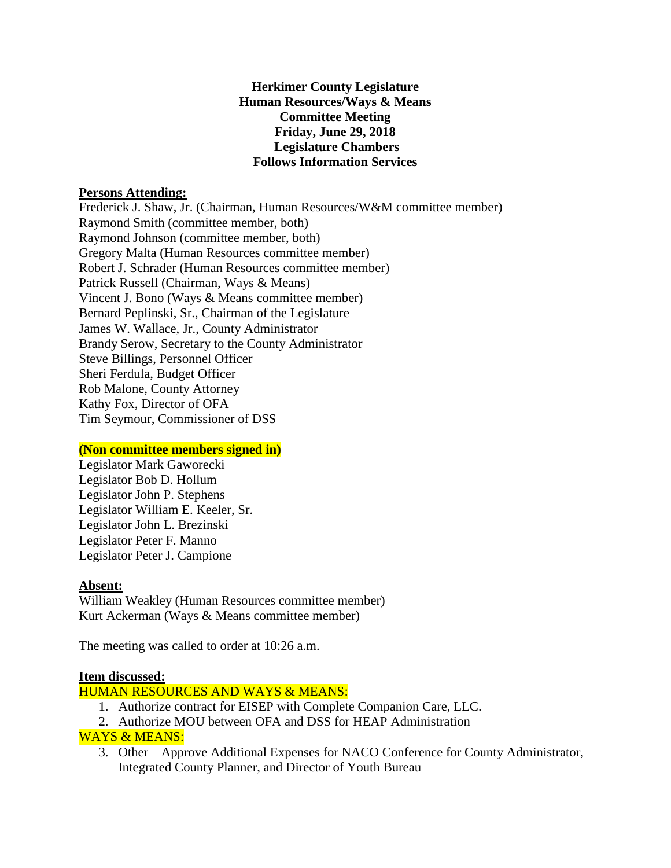### **Herkimer County Legislature Human Resources/Ways & Means Committee Meeting Friday, June 29, 2018 Legislature Chambers Follows Information Services**

### **Persons Attending:**

Frederick J. Shaw, Jr. (Chairman, Human Resources/W&M committee member) Raymond Smith (committee member, both) Raymond Johnson (committee member, both) Gregory Malta (Human Resources committee member) Robert J. Schrader (Human Resources committee member) Patrick Russell (Chairman, Ways & Means) Vincent J. Bono (Ways & Means committee member) Bernard Peplinski, Sr., Chairman of the Legislature James W. Wallace, Jr., County Administrator Brandy Serow, Secretary to the County Administrator Steve Billings, Personnel Officer Sheri Ferdula, Budget Officer Rob Malone, County Attorney Kathy Fox, Director of OFA Tim Seymour, Commissioner of DSS

# **(Non committee members signed in)**

Legislator Mark Gaworecki Legislator Bob D. Hollum Legislator John P. Stephens Legislator William E. Keeler, Sr. Legislator John L. Brezinski Legislator Peter F. Manno Legislator Peter J. Campione

### **Absent:**

William Weakley (Human Resources committee member) Kurt Ackerman (Ways & Means committee member)

The meeting was called to order at 10:26 a.m.

### **Item discussed:**

# HUMAN RESOURCES AND WAYS & MEANS:

- 1. Authorize contract for EISEP with Complete Companion Care, LLC.
- 2. Authorize MOU between OFA and DSS for HEAP Administration

# WAYS & MEANS:

3. Other – Approve Additional Expenses for NACO Conference for County Administrator, Integrated County Planner, and Director of Youth Bureau